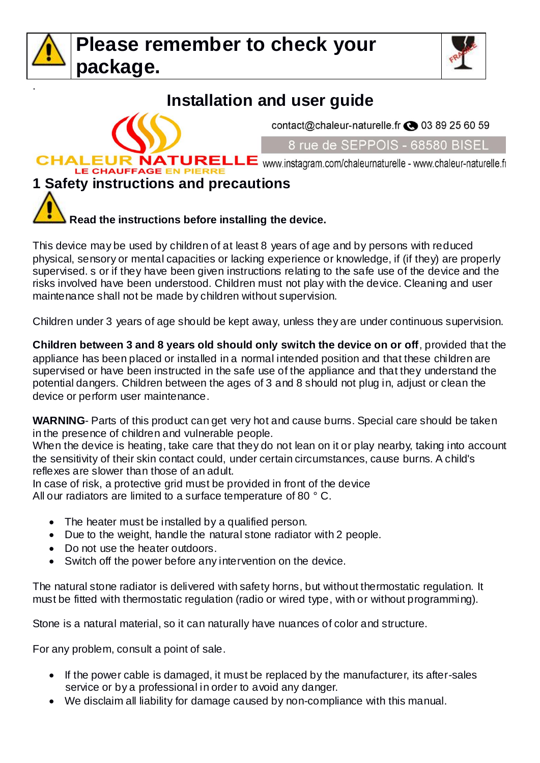

.



# **Installation and user guide**

contact@chaleur-naturelle.fr <a>03 89 25 60 59

#### 8 rue de SEPPOIS - 68580 BISEL

**CHALEUR NATURELLE** www.instagram.com/chaleurnaturelle - www.chaleur-naturelle.fr

#### LE CHAUFFAGE EN PIERRE **1 Safety instructions and precautions**



This device may be used by children of at least 8 years of age and by persons with reduced physical, sensory or mental capacities or lacking experience or knowledge, if (if they) are properly supervised. s or if they have been given instructions relating to the safe use of the device and the risks involved have been understood. Children must not play with the device. Cleaning and user maintenance shall not be made by children without supervision.

Children under 3 years of age should be kept away, unless they are under continuous supervision.

**Children between 3 and 8 years old should only switch the device on or off**, provided that the appliance has been placed or installed in a normal intended position and that these children are supervised or have been instructed in the safe use of the appliance and that they understand the potential dangers. Children between the ages of 3 and 8 should not plug in, adjust or clean the device or perform user maintenance.

**WARNING**- Parts of this product can get very hot and cause burns. Special care should be taken in the presence of children and vulnerable people.

When the device is heating, take care that they do not lean on it or play nearby, taking into account the sensitivity of their skin contact could, under certain circumstances, cause burns. A child's reflexes are slower than those of an adult.

In case of risk, a protective grid must be provided in front of the device All our radiators are limited to a surface temperature of 80 ° C.

- The heater must be installed by a qualified person.
- Due to the weight, handle the natural stone radiator with 2 people.
- Do not use the heater outdoors.
- Switch off the power before any intervention on the device.

The natural stone radiator is delivered with safety horns, but without thermostatic regulation. It must be fitted with thermostatic regulation (radio or wired type, with or without programming).

Stone is a natural material, so it can naturally have nuances of color and structure.

For any problem, consult a point of sale.

- If the power cable is damaged, it must be replaced by the manufacturer, its after-sales service or by a professional in order to avoid any danger.
- We disclaim all liability for damage caused by non-compliance with this manual.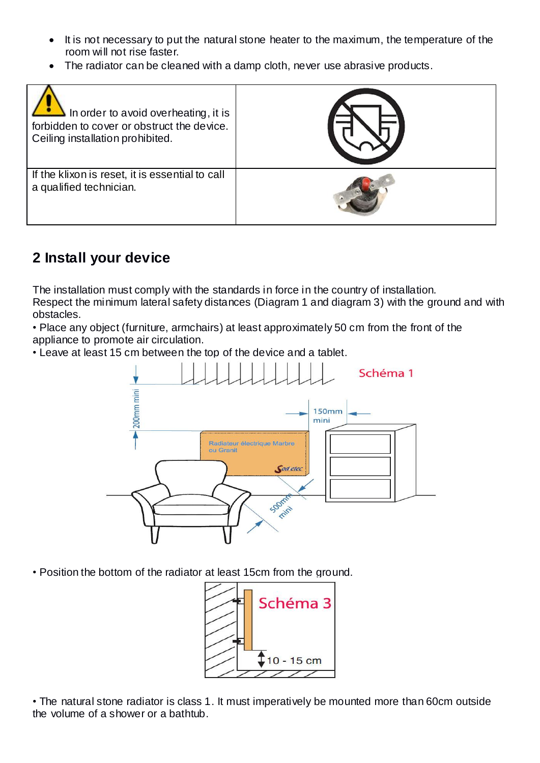- It is not necessary to put the natural stone heater to the maximum, the temperature of the room will not rise faster.
- The radiator can be cleaned with a damp cloth, never use abrasive products.

| In order to avoid overheating, it is<br>forbidden to cover or obstruct the device.<br>Ceiling installation prohibited. |  |
|------------------------------------------------------------------------------------------------------------------------|--|
| If the klixon is reset, it is essential to call<br>a qualified technician.                                             |  |

# **2 Install your device**

The installation must comply with the standards in force in the country of installation. Respect the minimum lateral safety distances (Diagram 1 and diagram 3) with the ground and with obstacles.

• Place any object (furniture, armchairs) at least approximately 50 cm from the front of the appliance to promote air circulation.

• Leave at least 15 cm between the top of the device and a tablet.



• Position the bottom of the radiator at least 15cm from the ground.



• The natural stone radiator is class 1. It must imperatively be mounted more than 60cm outside the volume of a shower or a bathtub.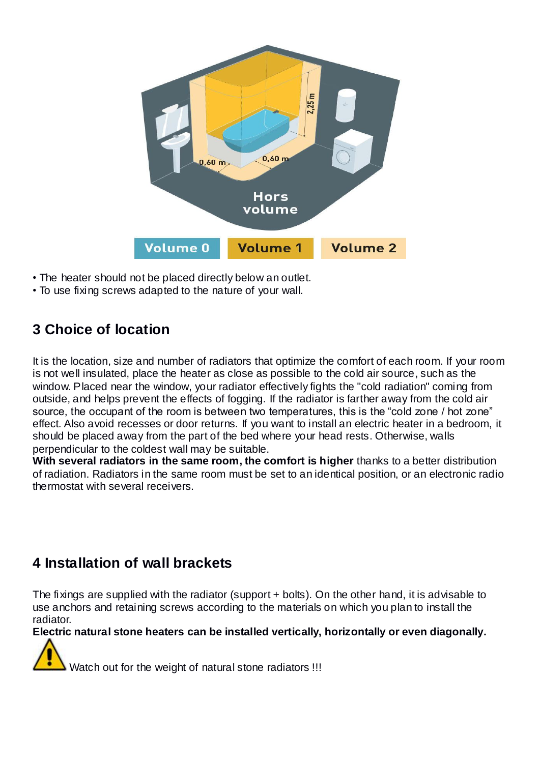

- The heater should not be placed directly below an outlet.
- To use fixing screws adapted to the nature of your wall.

### **3 Choice of location**

It is the location, size and number of radiators that optimize the comfort of each room. If your room is not well insulated, place the heater as close as possible to the cold air source, such as the window. Placed near the window, your radiator effectively fights the "cold radiation" coming from outside, and helps prevent the effects of fogging. If the radiator is farther away from the cold air source, the occupant of the room is between two temperatures, this is the "cold zone / hot zone" effect. Also avoid recesses or door returns. If you want to install an electric heater in a bedroom, it should be placed away from the part of the bed where your head rests. Otherwise, walls perpendicular to the coldest wall may be suitable.

**With several radiators in the same room, the comfort is higher** thanks to a better distribution of radiation. Radiators in the same room must be set to an identical position, or an electronic radio thermostat with several receivers.

### **4 Installation of wall brackets**

The fixings are supplied with the radiator (support + bolts). On the other hand, it is advisable to use anchors and retaining screws according to the materials on which you plan to install the radiator.

**Electric natural stone heaters can be installed vertically, horizontally or even diagonally.**

Watch out for the weight of natural stone radiators !!!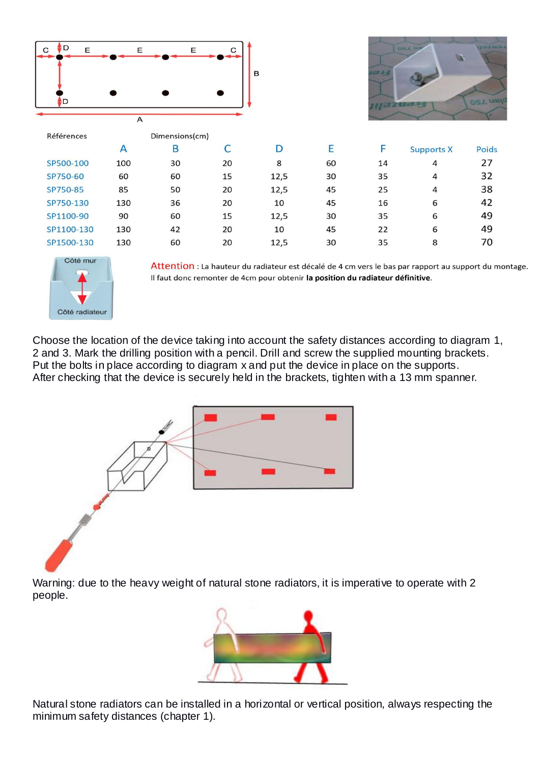



Attention : La hauteur du radiateur est décalé de 4 cm vers le bas par rapport au support du montage. Il faut donc remonter de 4cm pour obtenir la position du radiateur définitive.

Choose the location of the device taking into account the safety distances according to diagram 1, 2 and 3. Mark the drilling position with a pencil. Drill and screw the supplied mounting brackets. Put the bolts in place according to diagram x and put the device in place on the supports. After checking that the device is securely held in the brackets, tighten with a 13 mm spanner.



Warning: due to the heavy weight of natural stone radiators, it is imperative to operate with 2 people.



Natural stone radiators can be installed in a horizontal or vertical position, always respecting the minimum safety distances (chapter 1).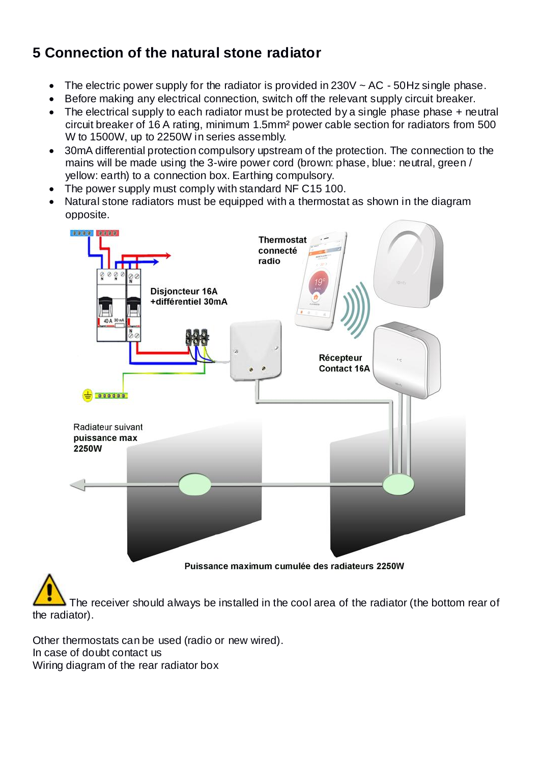# **5 Connection of the natural stone radiator**

- The electric power supply for the radiator is provided in  $230V \sim AC 50Hz$  single phase.
- Before making any electrical connection, switch off the relevant supply circuit breaker.
- The electrical supply to each radiator must be protected by a single phase phase + neutral circuit breaker of 16 A rating, minimum 1.5mm² power cable section for radiators from 500 W to 1500W, up to 2250W in series assembly.
- 30mA differential protection compulsory upstream of the protection. The connection to the mains will be made using the 3-wire power cord (brown: phase, blue: neutral, green / yellow: earth) to a connection box. Earthing compulsory.
- The power supply must comply with standard NF C15 100.
- Natural stone radiators must be equipped with a thermostat as shown in the diagram opposite.



The receiver should always be installed in the cool area of the radiator (the bottom rear of the radiator).

Other thermostats can be used (radio or new wired). In case of doubt contact us Wiring diagram of the rear radiator box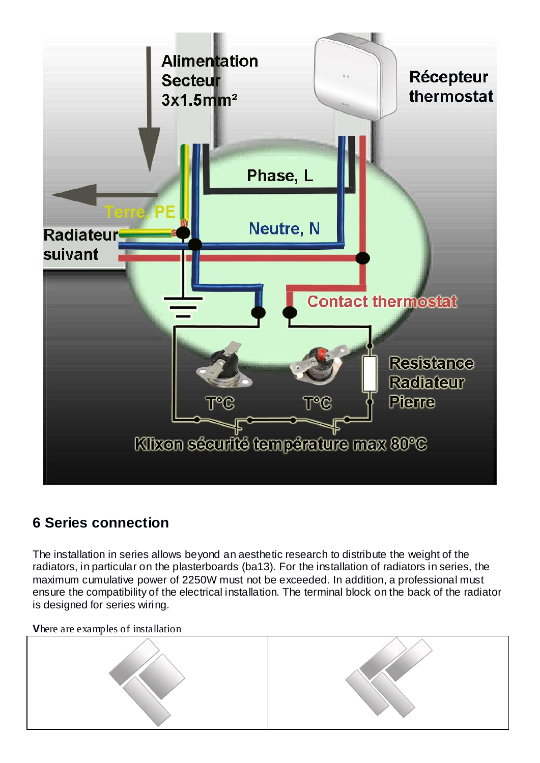

## **6 Series connection**

The installation in series allows beyond an aesthetic research to distribute the weight of the radiators, in particular on the plasterboards (ba13). For the installation of radiators in series, the maximum cumulative power of 2250W must not be exceeded. In addition, a professional must ensure the compatibility of the electrical installation. The terminal block on the back of the radiator is designed for series wiring.

**V**here are examples of installation

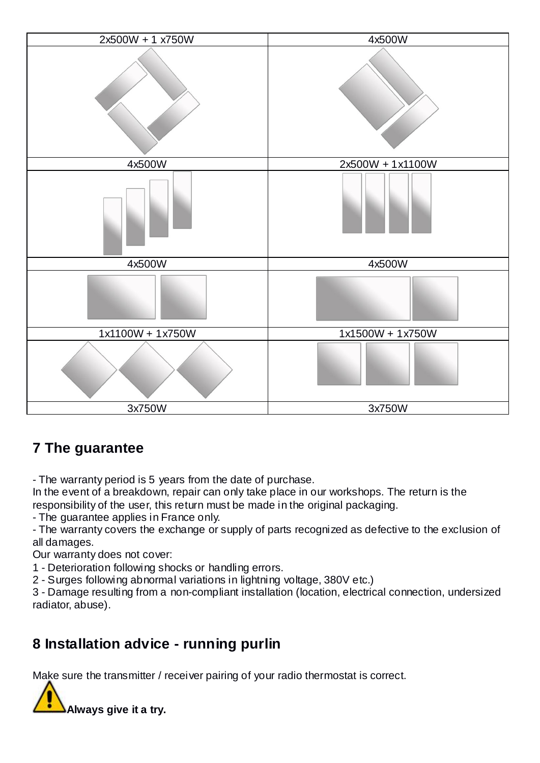

# **7 The guarantee**

- The warranty period is 5 years from the date of purchase.

In the event of a breakdown, repair can only take place in our workshops. The return is the responsibility of the user, this return must be made in the original packaging.

- The guarantee applies in France only.

- The warranty covers the exchange or supply of parts recognized as defective to the exclusion of all damages.

Our warranty does not cover:

1 - Deterioration following shocks or handling errors.

2 - Surges following abnormal variations in lightning voltage, 380V etc.)

3 - Damage resulting from a non-compliant installation (location, electrical connection, undersized radiator, abuse).

### **8 Installation advice - running purlin**

Make sure the transmitter / receiver pairing of your radio thermostat is correct.